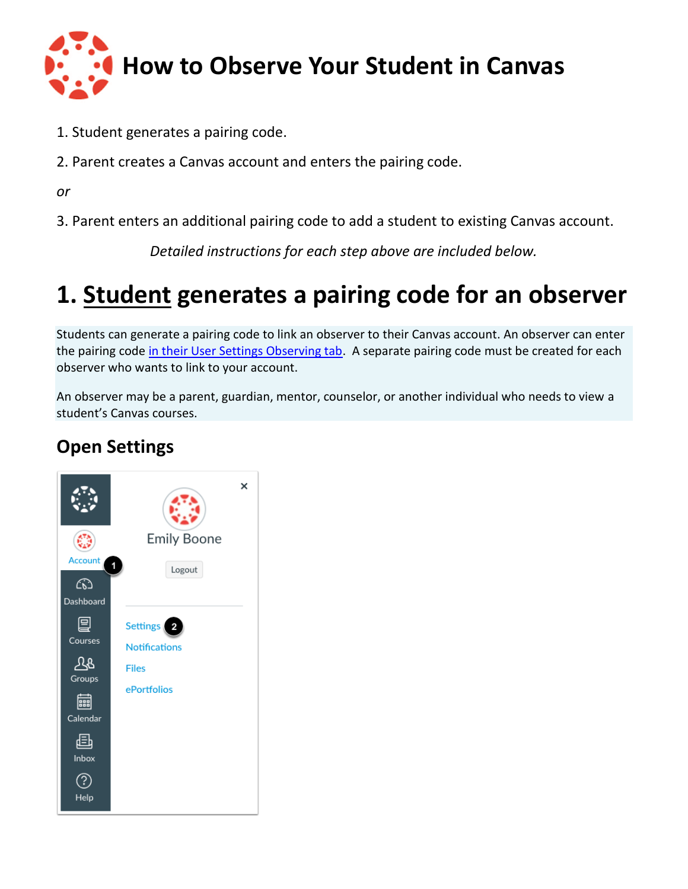

- 1. Student generates a pairing code.
- 2. Parent creates a Canvas account and enters the pairing code.

*or*

3. Parent enters an additional pairing code to add a student to existing Canvas account.

*Detailed instructions for each step above are included below.*

# **1. Student generates a pairing code for an observer**

Students can generate a pairing code to link an observer to their Canvas account. An observer can enter the pairing code [in their User Settings Observing tab.](https://community.canvaslms.com/docs/DOC-10915-4144237751) A separate pairing code must be created for each observer who wants to link to your account.

An observer may be a parent, guardian, mentor, counselor, or another individual who needs to view a student's Canvas courses.

# **Open Settings**

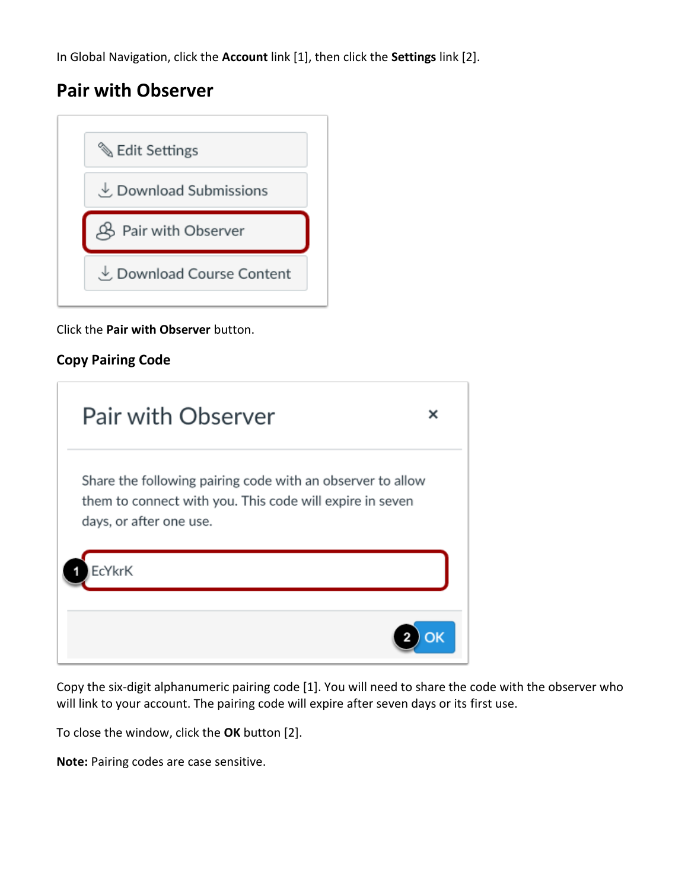In Global Navigation, click the **Account** link [1], then click the **Settings** link [2].

# **Pair with Observer**



Click the **Pair with Observer** button.

### **Copy Pairing Code**

| Pair with Observer                                                                                                                                | × |
|---------------------------------------------------------------------------------------------------------------------------------------------------|---|
| Share the following pairing code with an observer to allow<br>them to connect with you. This code will expire in seven<br>days, or after one use. |   |
| <b>EcYkrK</b>                                                                                                                                     |   |
|                                                                                                                                                   |   |

Copy the six-digit alphanumeric pairing code [1]. You will need to share the code with the observer who will link to your account. The pairing code will expire after seven days or its first use.

To close the window, click the **OK** button [2].

**Note:** Pairing codes are case sensitive.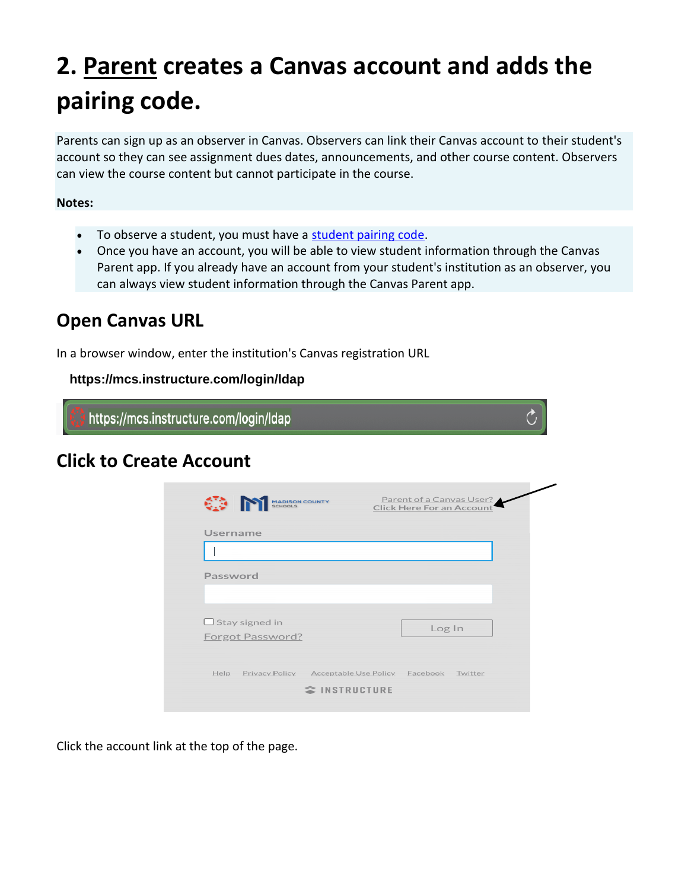# **2. Parent creates a Canvas account and adds the pairing code.**

Parents can sign up as an observer in Canvas. Observers can link their Canvas account to their student's account so they can see assignment dues dates, announcements, and other course content. Observers can view the course content but cannot participate in the course.

#### **Notes:**

- To observe a student, you must have a student pairing code.
- Once you have an account, you will be able to view student information through the Canvas Parent app. If you already have an account from your student's institution as an observer, you can always view student information through the Canvas Parent app.

# **Open Canvas URL**

In a browser window, enter the institution's Canvas registration URL

### https://mcs.instructure.com/login/ldap

https://mcs.instructure.com/login/ldap

## **Click to Create Account**

| Username                                  |  |        |
|-------------------------------------------|--|--------|
|                                           |  |        |
| Password                                  |  |        |
|                                           |  |        |
| $\Box$ Stay signed in<br>Forgot Password? |  | Log In |
|                                           |  |        |

 $\mathcal{C}$ 

Click the account link at the top of the page.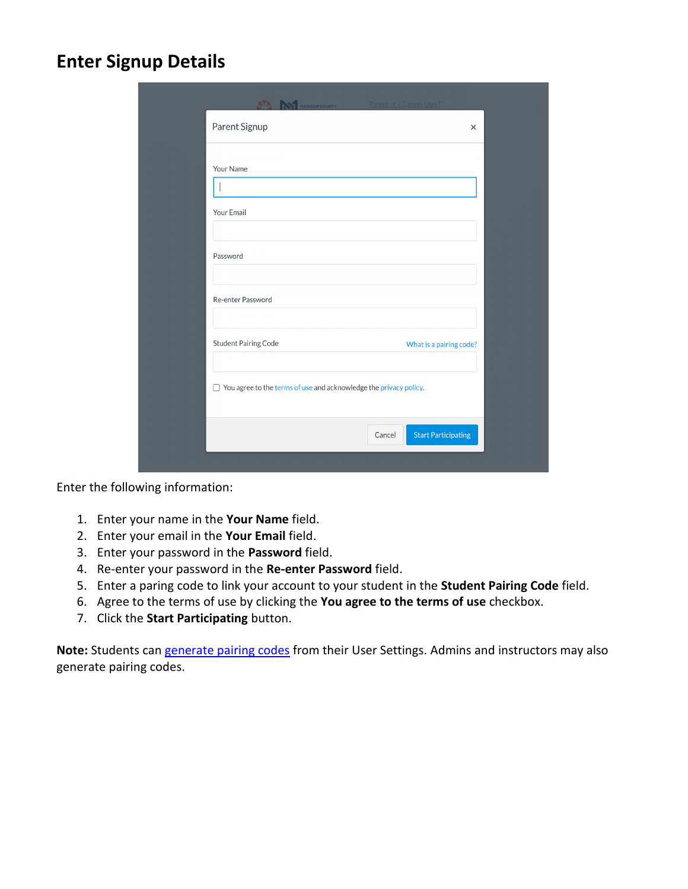### **Enter Signup Details**

| <b>ATA MADISON COUNTY</b>                                                | Parent of a Canvas User?             |
|--------------------------------------------------------------------------|--------------------------------------|
| Parent Signup                                                            | $\times$                             |
| Your Name                                                                |                                      |
|                                                                          |                                      |
| Your Email                                                               |                                      |
| Password                                                                 |                                      |
| Re-enter Password                                                        |                                      |
|                                                                          |                                      |
| <b>Student Pairing Code</b>                                              | What is a pairing code?              |
| $\Box$ You agree to the terms of use and acknowledge the privacy policy. |                                      |
|                                                                          | <b>Start Participating</b><br>Cancel |
|                                                                          |                                      |

Enter the following information:

- 1. Enter your name in the **Your Name** field.
- 2. Enter your email in the **Your Email** field.
- 3. Enter your password in the **Password** field.
- 4. Re-enter your password in the **Re-enter Password** field.
- 5. Enter a paring code to link your account to your student in the **Student Pairing Code** field.
- 6. Agree to the terms of use by clicking the **You agree to the terms of use** checkbox.
- 7. Click the **Start Participating** button.

**Note:** Students can generate pairing codes from their User Settings. Admins and instructors may also generate pairing codes.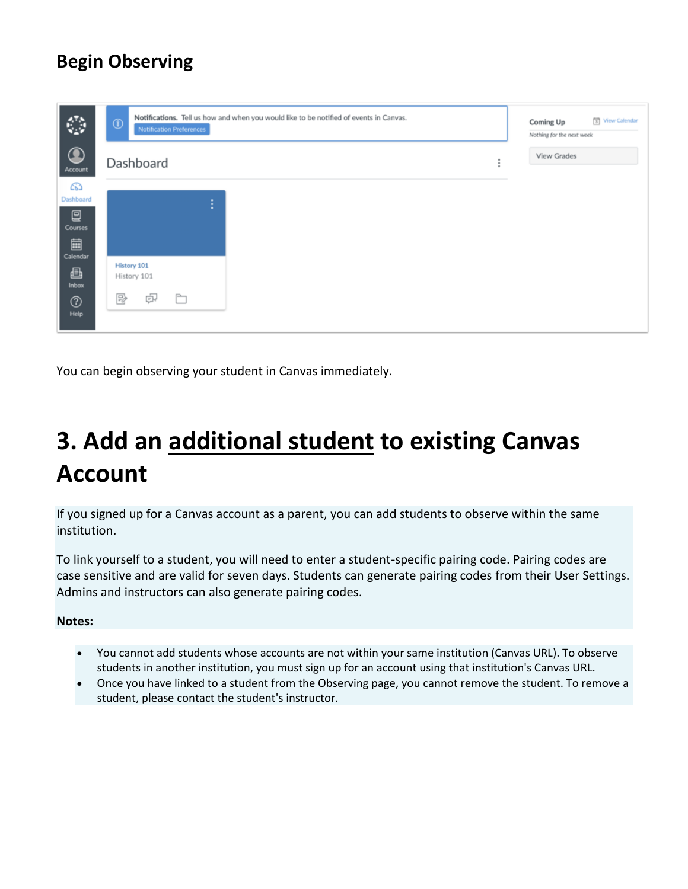# **Begin Observing**

| ٧                     | Notifications. Tell us how and when you would like to be notified of events in Canvas.<br>$^\circledR$<br><b>Notification Preferences</b> | Coming Up<br>Nothing for the next week | View Calendar |
|-----------------------|-------------------------------------------------------------------------------------------------------------------------------------------|----------------------------------------|---------------|
| $\bigcirc$<br>Account | Dashboard<br>٠                                                                                                                            | View Grades                            |               |
| ෬<br>Dashboard        |                                                                                                                                           |                                        |               |
| 冒<br>Courses          | ٠<br>п                                                                                                                                    |                                        |               |
| 圙<br>Calendar         |                                                                                                                                           |                                        |               |
| €<br>Inbox            | <b>History 101</b><br>History 101                                                                                                         |                                        |               |
| $^\circledR$<br>Help  | P,<br>$\Box$<br>凼                                                                                                                         |                                        |               |

You can begin observing your student in Canvas immediately.

# **3. Add an additional student to existing Canvas Account**

If you signed up for a Canvas account as a parent, you can add students to observe within the same institution.

To link yourself to a student, you will need to enter a student-specific pairing code. Pairing codes are case sensitive and are valid for seven days. Students can generate pairing codes from their User Settings. Admins and instructors can also generate pairing codes.

#### **Notes:**

- You cannot add students whose accounts are not within your same institution (Canvas URL). To observe students in another institution, you must sign up for an account using that institution's Canvas URL.
- Once you have linked to a student from the Observing page, you cannot remove the student. To remove a student, please contact the student's instructor.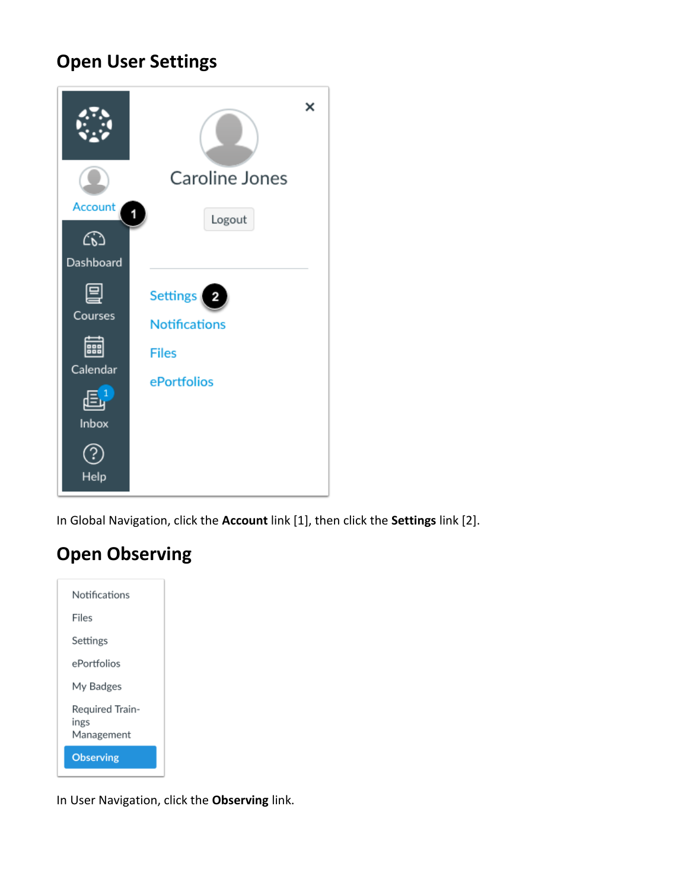# **Open User Settings**



In Global Navigation, click the **Account** link [1], then click the **Settings** link [2].

# **Open Observing**

| Notifications                         |
|---------------------------------------|
| Files                                 |
| Settings                              |
| ePortfolios                           |
| My Badges                             |
| Required Train-<br>ings<br>Management |
| <b>Observing</b>                      |
|                                       |

In User Navigation, click the **Observing** link.